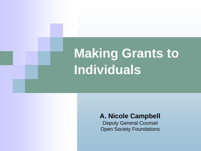# **Making Grants to Individuals**

#### **A. Nicole Campbell**

Deputy General Counsel Open Society Foundations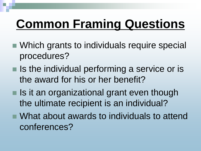## **Common Framing Questions**

- Which grants to individuals require special procedures?
- $\blacksquare$  Is the individual performing a service or is the award for his or her benefit?
- $\blacksquare$  Is it an organizational grant even though the ultimate recipient is an individual?
- What about awards to individuals to attend conferences?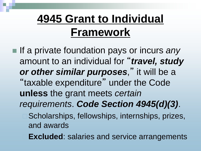#### **4945 Grant to Individual Framework**

■ If a private foundation pays or incurs *any* amount to an individual for "*travel, study*  or other similar purposes," it will be a "taxable expenditure" under the Code **unless** the grant meets *certain requirements*. *Code Section 4945(d)(3)*. Scholarships, fellowships, internships, prizes, and awards

**Excluded**: salaries and service arrangements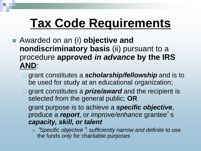## **Tax Code Requirements**

- Awarded on an (i) **objective and nondiscriminatory basis** (ii) pursuant to a procedure **approved** *in advance* **by the IRS AND**:
	- grant constitutes a *scholarship/fellowship* and is to be used for study at an educational organization;
	- grant constitutes a *prize/award* and the recipient is selected from the general public; **OR**
	- grant purpose is to achieve a *specific objective*, produce a *report*, or *improve/enhance* grantee' s *capacity, skill, or talent*
		- Ξ "*Specific objective*"*: sufficiently narrow and definite* to use the funds *only* for charitable purposes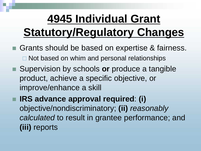#### **4945 Individual Grant Statutory/Regulatory Changes**

- Grants should be based on expertise & fairness.  $\Box$  Not based on whim and personal relationships
- Supervision by schools **or** produce a tangible product, achieve a specific objective, or improve/enhance a skill

 **IRS advance approval required**: **(i)** objective/nondiscriminatory; **(ii)** *reasonably calculated* to result in grantee performance; and **(iii)** reports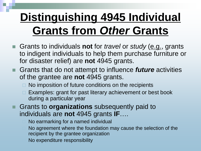## **Distinguishing 4945 Individual Grants from** *Other* **Grants**

- Grants to individuals **not** for *travel* or *study* (e.g., grants to indigent individuals to help them purchase furniture or for disaster relief) are **not** 4945 grants.
- Grants that do not attempt to influence *future* activities of the grantee are **not** 4945 grants.
	- $\Box$  No imposition of future conditions on the recipients
	- □ Examples: grant for past literary achievement or best book during a particular year
- Grants to **organizations** subsequently paid to individuals are **not** 4945 grants **IF**….
	- No earmarking for a named individual
	- No agreement where the foundation may cause the selection of the recipient by the grantee organization
	- No expenditure responsibility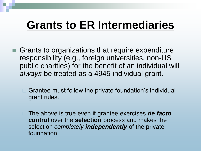#### **Grants to ER Intermediaries**

- Grants to organizations that require expenditure responsibility (e.g., foreign universities, non-US public charities) for the benefit of an individual will *always* be treated as a 4945 individual grant.
	- $\Box$  Grantee must follow the private foundation's individual grant rules.
	- The above is true even if grantee exercises *de facto* **control** over the **selection** process and makes the selection *completely independently* of the private foundation.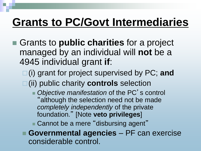#### **Grants to PC/Govt Intermediaries**

- Grants to **public charities** for a project managed by an individual will **not** be a 4945 individual grant **if**:
	- □(i) grant for project supervised by PC; and (ii) public charity **controls** selection
		- Objective manifestation of the PC's control "although the selection need not be made *completely independently* of the private foundation." [Note **veto privileges**]

Cannot be a mere "disbursing agent"

 **Governmental agencies** – PF can exercise considerable control.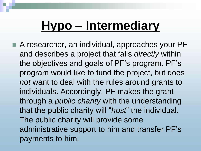## **Hypo – Intermediary**

■ A researcher, an individual, approaches your PF and describes a project that falls *directly* within the objectives and goals of PF's program. PF's program would like to fund the project, but does *not* want to deal with the rules around grants to individuals. Accordingly, PF makes the grant through a *public charity* with the understanding that the public charity will "*host*" the individual. The public charity will provide some administrative support to him and transfer PF's payments to him.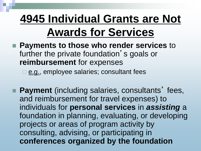#### **4945 Individual Grants are Not Awards for Services**

 **Payments to those who render services** to further the private foundation's goals or **reimbursement** for expenses

□ e.g., employee salaries; consultant fees

■ Payment (including salaries, consultants' fees, and reimbursement for travel expenses) to individuals for **personal services** in *assisting* a foundation in planning, evaluating, or developing projects or areas of program activity by consulting, advising, or participating in **conferences organized by the foundation**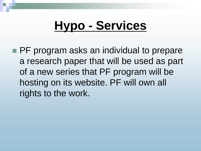## **Hypo - Services**

**PF** program asks an individual to prepare a research paper that will be used as part of a new series that PF program will be hosting on its website. PF will own all rights to the work.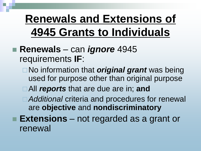#### **Renewals and Extensions of 4945 Grants to Individuals**

#### **Renewals** – can *ignore* 4945 requirements **IF**:

- No information that *original grant* was being used for purpose other than original purpose
- All *reports* that are due are in; **and**
- *Additional* criteria and procedures for renewal are **objective** and **nondiscriminatory**
- **Extensions** not regarded as a grant or renewal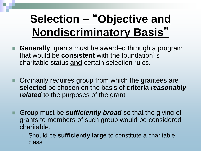#### **Selection –** "**Objective and Nondiscriminatory Basis**"

- **Generally**, grants must be awarded through a program that would be **consistent** with the foundation' s charitable status **and** certain selection rules.
- **Ordinarily requires group from which the grantees are selected** be chosen on the basis of **criteria** *reasonably related* to the purposes of the grant
- **Group must be** *sufficiently broad* so that the giving of grants to members of such group would be considered charitable.
	- Should be **sufficiently large** to constitute a charitable class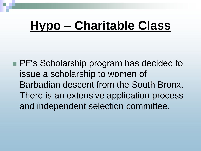## **Hypo – Charitable Class**

**PF's Scholarship program has decided to** issue a scholarship to women of Barbadian descent from the South Bronx. There is an extensive application process and independent selection committee.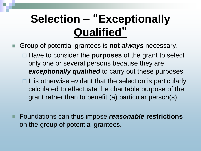## **Selection –** "**Exceptionally Qualified**"

- Group of potential grantees is **not** *always* necessary.
	- Have to consider the **purposes** of the grant to select only one or several persons because they are *exceptionally qualified* to carry out these purposes
	- $\Box$  It is otherwise evident that the selection is particularly calculated to effectuate the charitable purpose of the grant rather than to benefit (a) particular person(s).
- Foundations can thus impose *reasonable* **restrictions** on the group of potential grantees.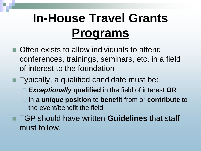## **In-House Travel Grants Programs**

- Often exists to allow individuals to attend conferences, trainings, seminars, etc. in a field of interest to the foundation
- Typically, a qualified candidate must be:
	- *Exceptionally* **qualified** in the field of interest **OR**
	- **□** In a *unique* position to benefit from or contribute to the event/benefit the field
- TGP should have written **Guidelines** that staff must follow.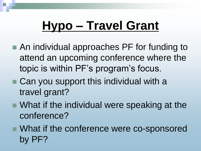## **Hypo – Travel Grant**

- An individual approaches PF for funding to attend an upcoming conference where the topic is within PF's program's focus.
- Can you support this individual with a travel grant?
- What if the individual were speaking at the conference?
- What if the conference were co-sponsored by PF?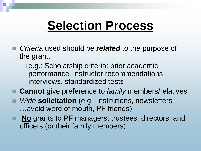#### **Selection Process**

- Criteria used should be *related* to the purpose of the grant.
	- **e.g.: Scholarship criteria: prior academic** performance, instructor recommendations, interviews, standardized tests
- **Cannot** give preference to *family* members/relatives
- *Wide* **solicitation** (e.g., institutions, newsletters …avoid word of mouth, PF friends)
- **No** grants to PF managers, trustees, directors, and officers (or their family members)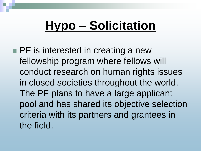## **Hypo – Solicitation**

**PF** is interested in creating a new fellowship program where fellows will conduct research on human rights issues in closed societies throughout the world. The PF plans to have a large applicant pool and has shared its objective selection criteria with its partners and grantees in the field.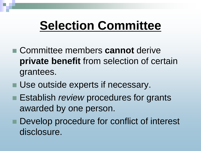## **Selection Committee**

- Committee members **cannot** derive **private benefit** from selection of certain grantees.
- Use outside experts if necessary.
- **Establish** *review* procedures for grants awarded by one person.
- Develop procedure for conflict of interest disclosure.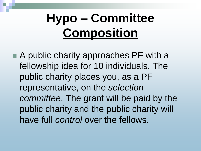## **Hypo – Committee Composition**

■ A public charity approaches PF with a fellowship idea for 10 individuals. The public charity places you, as a PF representative, on the *selection committee*. The grant will be paid by the public charity and the public charity will have full *control* over the fellows.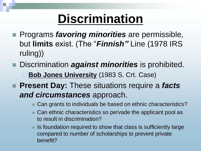## **Discrimination**

- **Programs** *favoring minorities* are permissible, but **limits** exist. (The "*Finnish"* Line (1978 IRS ruling))
- Discrimination *against minorities* is prohibited. ■ **Bob Jones University** (1983 S. Crt. Case)
- **Present Day:** These situations require a *facts and circumstances* approach.
	- Can grants to individuals be based on ethnic characteristics?
	- Can ethnic characteristics so pervade the applicant pool as to result in discrimination?
	- Is foundation required to show that class is sufficiently large compared to number of scholarships to prevent private benefit?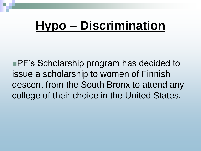## **Hypo – Discrimination**

■PF's Scholarship program has decided to issue a scholarship to women of Finnish descent from the South Bronx to attend any college of their choice in the United States.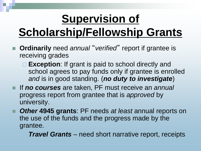## **Supervision of**

## **Scholarship/Fellowship Grants**

- **Ordinarily** need *annual* "*verified*" report if grantee is receiving grades
	- **□ Exception**: If grant is paid to school directly and school agrees to pay funds only if grantee is enrolled *and* is in good standing. (*no duty to investigate*)
- If *no courses* are taken, PF must receive an *annual* progress report from grantee that is *approved* by university.
- *Other* **4945 grants**: PF needs *at least* annual reports on the use of the funds and the progress made by the grantee.
	- *Travel Grants* need short narrative report, receipts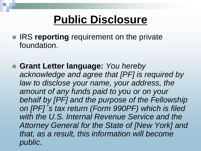#### **Public Disclosure**

- **IRS reporting** requirement on the private foundation.
- **Grant Letter language:** *You hereby acknowledge and agree that [PF] is required by law to disclose your name, your address, the amount of any funds paid to you or on your behalf by [PF] and the purpose of the Fellowship on [PF]*'*s tax return (Form 990PF) which is filed with the U.S. Internal Revenue Service and the Attorney General for the State of [New York] and that, as a result, this information will become public.*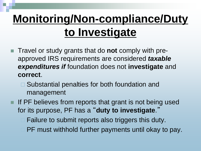## **Monitoring/Non-compliance/Duty to Investigate**

- Travel or study grants that do **not** comply with preapproved IRS requirements are considered *taxable expenditures if* foundation does not **investigate** and **correct**.
	- □ Substantial penalties for both foundation and management
- $\blacksquare$  If PF believes from reports that grant is not being used for its purpose, PF has a "**duty to investigate**."
	- Failure to submit reports also triggers this duty.
	- PF must withhold further payments until okay to pay.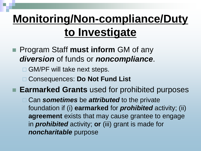## **Monitoring/Non-compliance/Duty to Investigate**

- Program Staff **must inform** GM of any *diversion* of funds or *noncompliance*.
	- □ GM/PF will take next steps.
	- Consequences: **Do Not Fund List**

**Earmarked Grants** used for prohibited purposes

**□ Can sometimes** be **attributed** to the private foundation if (i) **earmarked** for *prohibited* activity; (ii) **agreement** exists that may cause grantee to engage in *prohibited* activity; **or** (iii) grant is made for *noncharitable* purpose